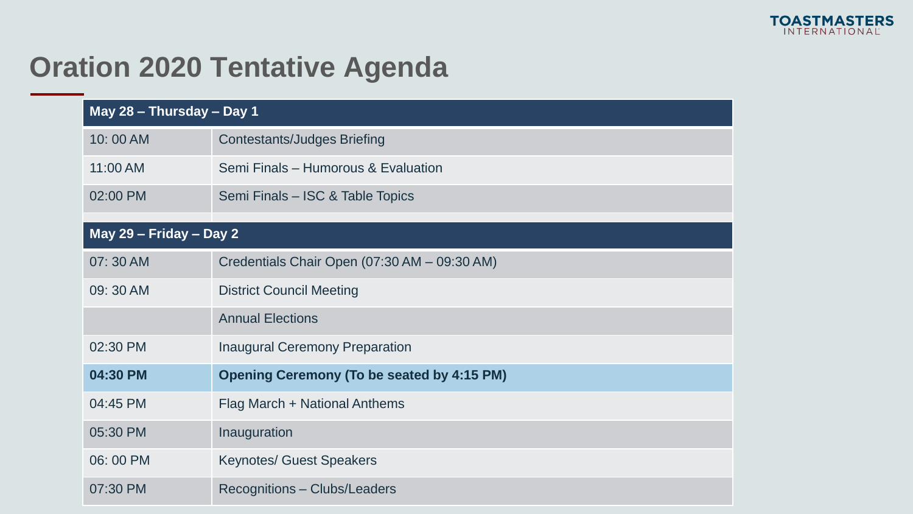

## **Oration 2020 Tentative Agenda**

| May 28 - Thursday - Day 1 |                                                   |  |
|---------------------------|---------------------------------------------------|--|
| 10:00 AM                  | <b>Contestants/Judges Briefing</b>                |  |
| 11:00 AM                  | Semi Finals - Humorous & Evaluation               |  |
| 02:00 PM                  | Semi Finals - ISC & Table Topics                  |  |
| May 29 - Friday - Day 2   |                                                   |  |
| 07:30 AM                  | Credentials Chair Open (07:30 AM - 09:30 AM)      |  |
| 09:30 AM                  | <b>District Council Meeting</b>                   |  |
|                           | <b>Annual Elections</b>                           |  |
| 02:30 PM                  | <b>Inaugural Ceremony Preparation</b>             |  |
| 04:30 PM                  | <b>Opening Ceremony (To be seated by 4:15 PM)</b> |  |
| 04:45 PM                  | Flag March + National Anthems                     |  |
| 05:30 PM                  | Inauguration                                      |  |
| 06: 00 PM                 | <b>Keynotes/ Guest Speakers</b>                   |  |
| 07:30 PM                  | <b>Recognitions – Clubs/Leaders</b>               |  |